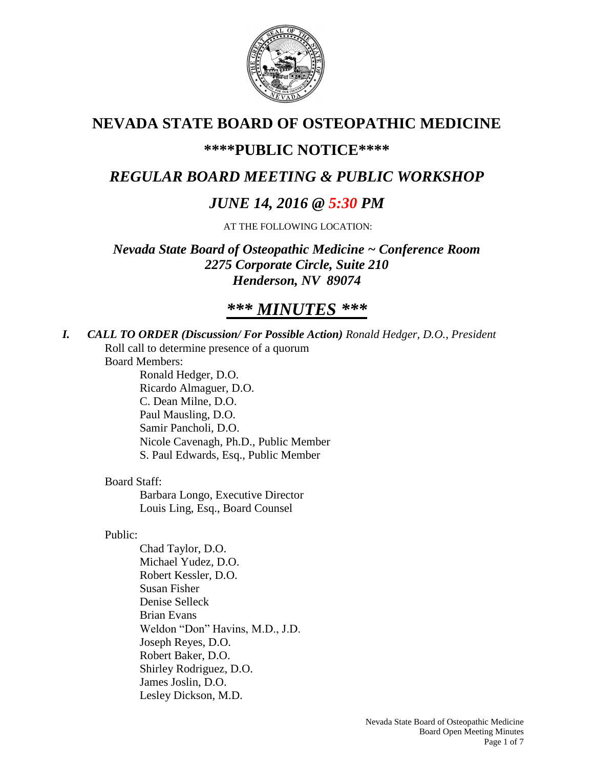

# **NEVADA STATE BOARD OF OSTEOPATHIC MEDICINE**

# **\*\*\*\*PUBLIC NOTICE\*\*\*\***

# *REGULAR BOARD MEETING & PUBLIC WORKSHOP*

# *JUNE 14, 2016 @ 5:30 PM*

AT THE FOLLOWING LOCATION:

*Nevada State Board of Osteopathic Medicine ~ Conference Room 2275 Corporate Circle, Suite 210 Henderson, NV 89074*

# *\*\*\* MINUTES \*\*\**

*I. CALL TO ORDER (Discussion/ For Possible Action) Ronald Hedger, D.O., President* Roll call to determine presence of a quorum

Board Members:

Ronald Hedger, D.O. Ricardo Almaguer, D.O. C. Dean Milne, D.O. Paul Mausling, D.O. Samir Pancholi, D.O. Nicole Cavenagh, Ph.D., Public Member S. Paul Edwards, Esq., Public Member

## Board Staff:

Barbara Longo, Executive Director Louis Ling, Esq., Board Counsel

### Public:

Chad Taylor, D.O. Michael Yudez, D.O. Robert Kessler, D.O. Susan Fisher Denise Selleck Brian Evans Weldon "Don" Havins, M.D., J.D. Joseph Reyes, D.O. Robert Baker, D.O. Shirley Rodriguez, D.O. James Joslin, D.O. Lesley Dickson, M.D.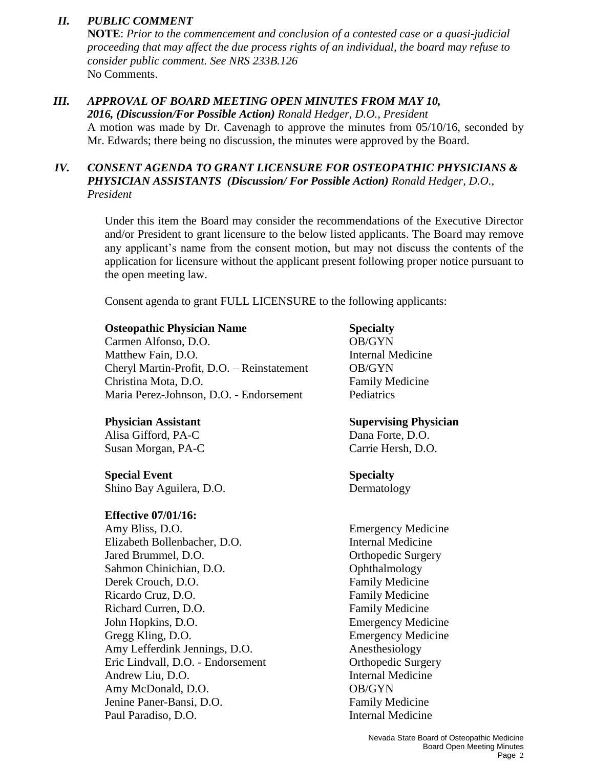## *II. PUBLIC COMMENT*

**NOTE**: *Prior to the commencement and conclusion of a contested case or a quasi-judicial proceeding that may affect the due process rights of an individual, the board may refuse to consider public comment. See NRS 233B.126* No Comments.

## *III. APPROVAL OF BOARD MEETING OPEN MINUTES FROM MAY 10,*

*2016, (Discussion/For Possible Action) Ronald Hedger, D.O., President*

A motion was made by Dr. Cavenagh to approve the minutes from 05/10/16, seconded by Mr. Edwards; there being no discussion, the minutes were approved by the Board.

## *IV. CONSENT AGENDA TO GRANT LICENSURE FOR OSTEOPATHIC PHYSICIANS & PHYSICIAN ASSISTANTS (Discussion/ For Possible Action) Ronald Hedger, D.O., President*

Under this item the Board may consider the recommendations of the Executive Director and/or President to grant licensure to the below listed applicants. The Board may remove any applicant's name from the consent motion, but may not discuss the contents of the application for licensure without the applicant present following proper notice pursuant to the open meeting law.

Consent agenda to grant FULL LICENSURE to the following applicants:

### **Osteopathic Physician Name Specialty**

Carmen Alfonso, D.O. **OB/GYN** Matthew Fain, D.O. **Internal Medicine** Cheryl Martin-Profit, D.O. – Reinstatement OB/GYN Christina Mota, D.O. Family Medicine Maria Perez-Johnson, D.O. - Endorsement Pediatrics

Alisa Gifford, PA-C Dana Forte, D.O. Susan Morgan, PA-C Carrie Hersh, D.O.

**Special Event Specialty** Shino Bay Aguilera, D.O. Dermatology

### **Effective 07/01/16:**

Amy Bliss, D.O. Emergency Medicine Elizabeth Bollenbacher, D.O. Internal Medicine Jared Brummel, D.O. **Orthopedic Surgery** Sahmon Chinichian, D.O. Ophthalmology Derek Crouch, D.O. **Family Medicine** Ricardo Cruz, D.O. **Family Medicine** Richard Curren, D.O. **Family Medicine** John Hopkins, D.O. Emergency Medicine Gregg Kling, D.O. Emergency Medicine Amy Lefferdink Jennings, D.O. Anesthesiology Eric Lindvall, D.O. - Endorsement Corthopedic Surgery Andrew Liu, D.O. Internal Medicine Amy McDonald, D.O. **OB/GYN** Jenine Paner-Bansi, D.O. Family Medicine Paul Paradiso, D.O. **Internal Medicine** 

## **Physician Assistant Supervising Physician**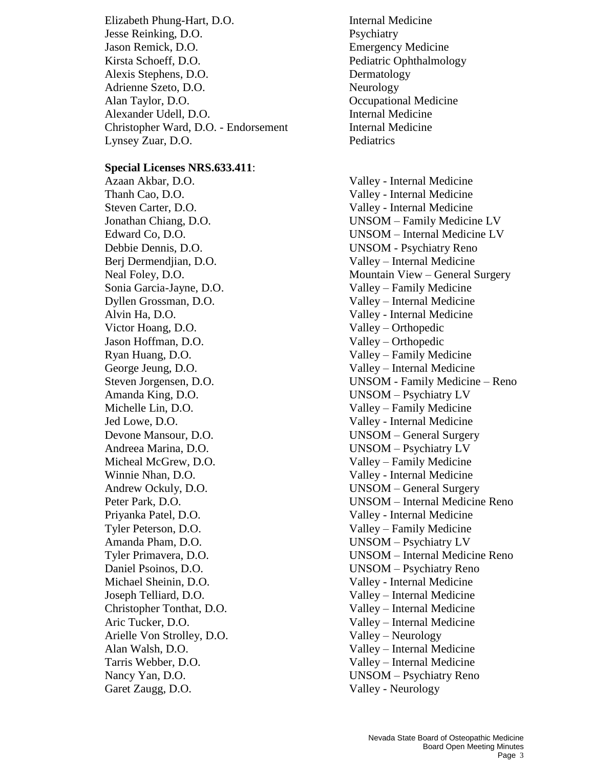Elizabeth Phung-Hart, D.O. Internal Medicine Jesse Reinking, D.O. Psychiatry Jason Remick, D.O. Emergency Medicine Kirsta Schoeff, D.O. Pediatric Ophthalmology Alexis Stephens, D.O. Dermatology Adrienne Szeto, D.O. Neurology Alan Taylor, D.O. Compared a Compared Alan Taylor, D.O. Alexander Udell, D.O. Internal Medicine Christopher Ward, D.O. - Endorsement Internal Medicine Lynsey Zuar, D.O. Pediatrics

### **Special Licenses NRS.633.411**:

Azaan Akbar, D.O. Valley - Internal Medicine Thanh Cao, D.O. Valley - Internal Medicine Steven Carter, D.O. Valley - Internal Medicine Debbie Dennis, D.O. UNSOM - Psychiatry Reno Berj Dermendjian, D.O. Valley – Internal Medicine Sonia Garcia-Jayne, D.O. Valley – Family Medicine Dyllen Grossman, D.O. Valley – Internal Medicine Alvin Ha, D.O. Valley - Internal Medicine Victor Hoang, D.O. Valley – Orthopedic Jason Hoffman, D.O. Valley – Orthopedic Ryan Huang, D.O. Valley – Family Medicine George Jeung, D.O. Valley – Internal Medicine Amanda King, D.O. UNSOM – Psychiatry LV Michelle Lin, D.O. Valley – Family Medicine Jed Lowe, D.O. Valley - Internal Medicine Andreea Marina, D.O. UNSOM – Psychiatry LV Micheal McGrew, D.O. Valley – Family Medicine Winnie Nhan, D.O. Valley - Internal Medicine Priyanka Patel, D.O. Valley - Internal Medicine Tyler Peterson, D.O. Valley – Family Medicine Amanda Pham, D.O. UNSOM – Psychiatry LV Daniel Psoinos, D.O. UNSOM – Psychiatry Reno Michael Sheinin, D.O. Valley - Internal Medicine Joseph Telliard, D.O. Valley – Internal Medicine Christopher Tonthat, D.O. Valley – Internal Medicine Aric Tucker, D.O. Valley – Internal Medicine Arielle Von Strolley, D.O. Valley – Neurology Alan Walsh, D.O. Valley – Internal Medicine Tarris Webber, D.O. Valley – Internal Medicine Nancy Yan, D.O. UNSOM – Psychiatry Reno Garet Zaugg, D.O. Valley - Neurology

Jonathan Chiang, D.O. UNSOM – Family Medicine LV Edward Co, D.O. UNSOM – Internal Medicine LV Neal Foley, D.O. Mountain View – General Surgery Steven Jorgensen, D.O. UNSOM - Family Medicine – Reno Devone Mansour, D.O. UNSOM – General Surgery Andrew Ockuly, D.O. UNSOM – General Surgery Peter Park, D.O. UNSOM – Internal Medicine Reno Tyler Primavera, D.O. UNSOM – Internal Medicine Reno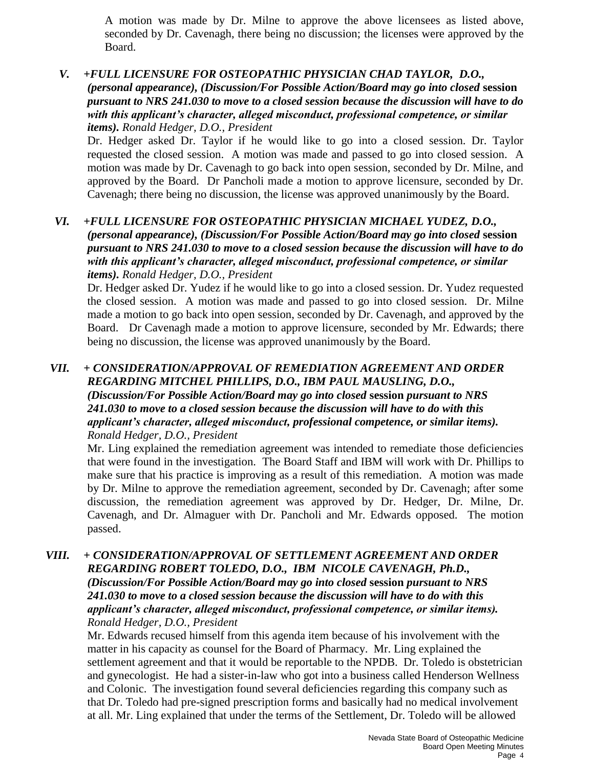A motion was made by Dr. Milne to approve the above licensees as listed above, seconded by Dr. Cavenagh, there being no discussion; the licenses were approved by the Board.

### *V. +FULL LICENSURE FOR OSTEOPATHIC PHYSICIAN CHAD TAYLOR, D.O., (personal appearance), (Discussion/For Possible Action/Board may go into closed* **session** *pursuant to NRS 241.030 to move to a closed session because the discussion will have to do with this applicant's character, alleged misconduct, professional competence, or similar items). Ronald Hedger, D.O., President*

Dr. Hedger asked Dr. Taylor if he would like to go into a closed session. Dr. Taylor requested the closed session. A motion was made and passed to go into closed session. A motion was made by Dr. Cavenagh to go back into open session, seconded by Dr. Milne, and approved by the Board. Dr Pancholi made a motion to approve licensure, seconded by Dr. Cavenagh; there being no discussion, the license was approved unanimously by the Board.

### *VI. +FULL LICENSURE FOR OSTEOPATHIC PHYSICIAN MICHAEL YUDEZ, D.O., (personal appearance), (Discussion/For Possible Action/Board may go into closed* **session** *pursuant to NRS 241.030 to move to a closed session because the discussion will have to do with this applicant's character, alleged misconduct, professional competence, or similar items). Ronald Hedger, D.O., President*

Dr. Hedger asked Dr. Yudez if he would like to go into a closed session. Dr. Yudez requested the closed session. A motion was made and passed to go into closed session. Dr. Milne made a motion to go back into open session, seconded by Dr. Cavenagh, and approved by the Board. Dr Cavenagh made a motion to approve licensure, seconded by Mr. Edwards; there being no discussion, the license was approved unanimously by the Board.

### *VII. + CONSIDERATION/APPROVAL OF REMEDIATION AGREEMENT AND ORDER REGARDING MITCHEL PHILLIPS, D.O., IBM PAUL MAUSLING, D.O., (Discussion/For Possible Action/Board may go into closed* **session** *pursuant to NRS 241.030 to move to a closed session because the discussion will have to do with this applicant's character, alleged misconduct, professional competence, or similar items). Ronald Hedger, D.O., President*

Mr. Ling explained the remediation agreement was intended to remediate those deficiencies that were found in the investigation. The Board Staff and IBM will work with Dr. Phillips to make sure that his practice is improving as a result of this remediation. A motion was made by Dr. Milne to approve the remediation agreement, seconded by Dr. Cavenagh; after some discussion, the remediation agreement was approved by Dr. Hedger, Dr. Milne, Dr. Cavenagh, and Dr. Almaguer with Dr. Pancholi and Mr. Edwards opposed. The motion passed.

### *VIII. + CONSIDERATION/APPROVAL OF SETTLEMENT AGREEMENT AND ORDER REGARDING ROBERT TOLEDO, D.O., IBM NICOLE CAVENAGH, Ph.D., (Discussion/For Possible Action/Board may go into closed* **session** *pursuant to NRS 241.030 to move to a closed session because the discussion will have to do with this applicant's character, alleged misconduct, professional competence, or similar items). Ronald Hedger, D.O., President*

Mr. Edwards recused himself from this agenda item because of his involvement with the matter in his capacity as counsel for the Board of Pharmacy. Mr. Ling explained the settlement agreement and that it would be reportable to the NPDB. Dr. Toledo is obstetrician and gynecologist. He had a sister-in-law who got into a business called Henderson Wellness and Colonic. The investigation found several deficiencies regarding this company such as that Dr. Toledo had pre-signed prescription forms and basically had no medical involvement at all. Mr. Ling explained that under the terms of the Settlement, Dr. Toledo will be allowed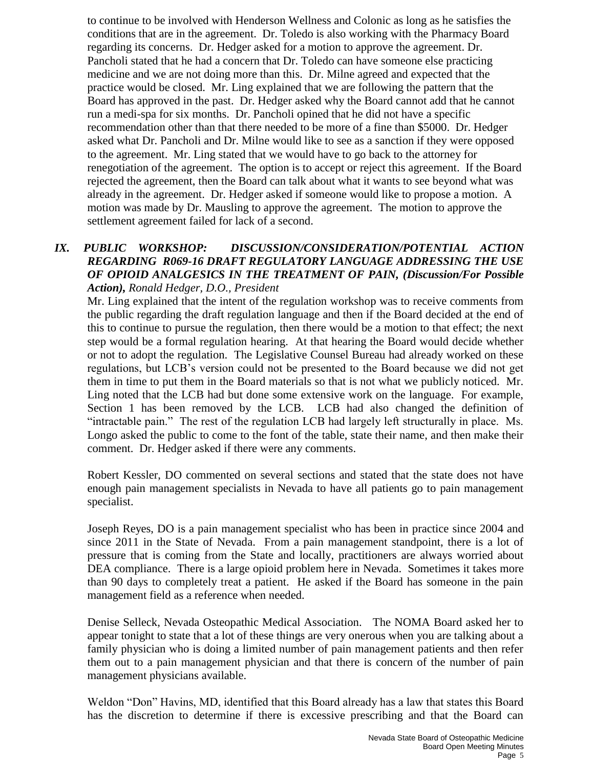to continue to be involved with Henderson Wellness and Colonic as long as he satisfies the conditions that are in the agreement. Dr. Toledo is also working with the Pharmacy Board regarding its concerns. Dr. Hedger asked for a motion to approve the agreement. Dr. Pancholi stated that he had a concern that Dr. Toledo can have someone else practicing medicine and we are not doing more than this. Dr. Milne agreed and expected that the practice would be closed. Mr. Ling explained that we are following the pattern that the Board has approved in the past. Dr. Hedger asked why the Board cannot add that he cannot run a medi-spa for six months. Dr. Pancholi opined that he did not have a specific recommendation other than that there needed to be more of a fine than \$5000. Dr. Hedger asked what Dr. Pancholi and Dr. Milne would like to see as a sanction if they were opposed to the agreement. Mr. Ling stated that we would have to go back to the attorney for renegotiation of the agreement. The option is to accept or reject this agreement. If the Board rejected the agreement, then the Board can talk about what it wants to see beyond what was already in the agreement. Dr. Hedger asked if someone would like to propose a motion. A motion was made by Dr. Mausling to approve the agreement. The motion to approve the settlement agreement failed for lack of a second.

### *IX. PUBLIC WORKSHOP: DISCUSSION/CONSIDERATION/POTENTIAL ACTION REGARDING R069-16 DRAFT REGULATORY LANGUAGE ADDRESSING THE USE OF OPIOID ANALGESICS IN THE TREATMENT OF PAIN, (Discussion/For Possible Action), Ronald Hedger, D.O., President*

Mr. Ling explained that the intent of the regulation workshop was to receive comments from the public regarding the draft regulation language and then if the Board decided at the end of this to continue to pursue the regulation, then there would be a motion to that effect; the next step would be a formal regulation hearing. At that hearing the Board would decide whether or not to adopt the regulation. The Legislative Counsel Bureau had already worked on these regulations, but LCB's version could not be presented to the Board because we did not get them in time to put them in the Board materials so that is not what we publicly noticed. Mr. Ling noted that the LCB had but done some extensive work on the language. For example, Section 1 has been removed by the LCB. LCB had also changed the definition of "intractable pain." The rest of the regulation LCB had largely left structurally in place. Ms. Longo asked the public to come to the font of the table, state their name, and then make their comment. Dr. Hedger asked if there were any comments.

Robert Kessler, DO commented on several sections and stated that the state does not have enough pain management specialists in Nevada to have all patients go to pain management specialist.

Joseph Reyes, DO is a pain management specialist who has been in practice since 2004 and since 2011 in the State of Nevada. From a pain management standpoint, there is a lot of pressure that is coming from the State and locally, practitioners are always worried about DEA compliance. There is a large opioid problem here in Nevada. Sometimes it takes more than 90 days to completely treat a patient. He asked if the Board has someone in the pain management field as a reference when needed.

Denise Selleck, Nevada Osteopathic Medical Association. The NOMA Board asked her to appear tonight to state that a lot of these things are very onerous when you are talking about a family physician who is doing a limited number of pain management patients and then refer them out to a pain management physician and that there is concern of the number of pain management physicians available.

Weldon "Don" Havins, MD, identified that this Board already has a law that states this Board has the discretion to determine if there is excessive prescribing and that the Board can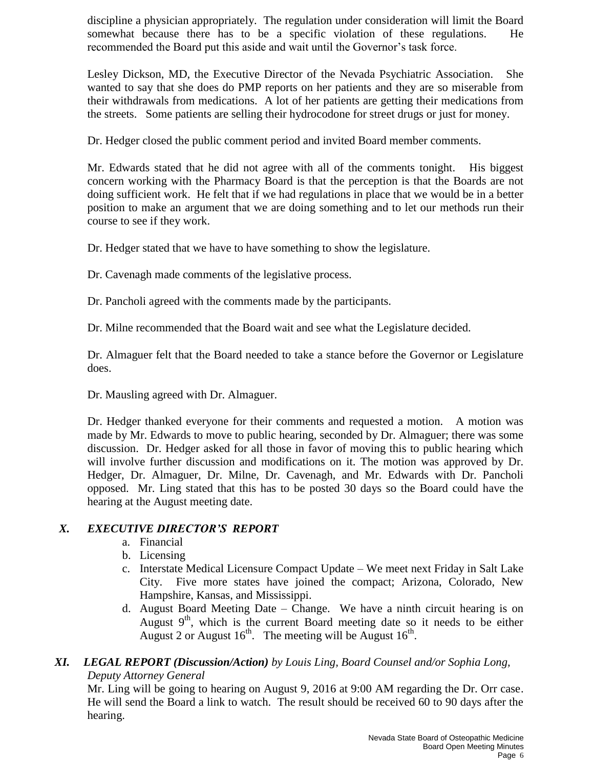discipline a physician appropriately. The regulation under consideration will limit the Board somewhat because there has to be a specific violation of these regulations. He recommended the Board put this aside and wait until the Governor's task force.

Lesley Dickson, MD, the Executive Director of the Nevada Psychiatric Association. She wanted to say that she does do PMP reports on her patients and they are so miserable from their withdrawals from medications. A lot of her patients are getting their medications from the streets. Some patients are selling their hydrocodone for street drugs or just for money.

Dr. Hedger closed the public comment period and invited Board member comments.

Mr. Edwards stated that he did not agree with all of the comments tonight. His biggest concern working with the Pharmacy Board is that the perception is that the Boards are not doing sufficient work. He felt that if we had regulations in place that we would be in a better position to make an argument that we are doing something and to let our methods run their course to see if they work.

Dr. Hedger stated that we have to have something to show the legislature.

Dr. Cavenagh made comments of the legislative process.

Dr. Pancholi agreed with the comments made by the participants.

Dr. Milne recommended that the Board wait and see what the Legislature decided.

Dr. Almaguer felt that the Board needed to take a stance before the Governor or Legislature does.

Dr. Mausling agreed with Dr. Almaguer.

Dr. Hedger thanked everyone for their comments and requested a motion. A motion was made by Mr. Edwards to move to public hearing, seconded by Dr. Almaguer; there was some discussion. Dr. Hedger asked for all those in favor of moving this to public hearing which will involve further discussion and modifications on it. The motion was approved by Dr. Hedger, Dr. Almaguer, Dr. Milne, Dr. Cavenagh, and Mr. Edwards with Dr. Pancholi opposed. Mr. Ling stated that this has to be posted 30 days so the Board could have the hearing at the August meeting date.

### *X. EXECUTIVE DIRECTOR'S REPORT*

- a. Financial
- b. Licensing
- c. Interstate Medical Licensure Compact Update We meet next Friday in Salt Lake City. Five more states have joined the compact; Arizona, Colorado, New Hampshire, Kansas, and Mississippi.
- d. August Board Meeting Date Change. We have a ninth circuit hearing is on August  $9<sup>th</sup>$ , which is the current Board meeting date so it needs to be either August 2 or August  $16^{th}$ . The meeting will be August  $16^{th}$ .

### *XI. LEGAL REPORT (Discussion/Action) by Louis Ling, Board Counsel and/or Sophia Long, Deputy Attorney General*

Mr. Ling will be going to hearing on August 9, 2016 at 9:00 AM regarding the Dr. Orr case. He will send the Board a link to watch. The result should be received 60 to 90 days after the hearing.